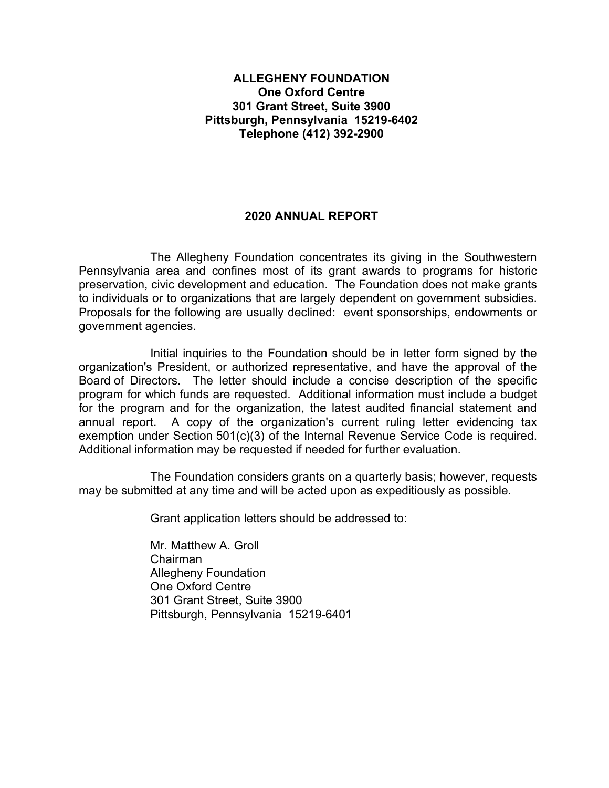#### **ALLEGHENY FOUNDATION One Oxford Centre 301 Grant Street, Suite 3900 Pittsburgh, Pennsylvania 15219-6402 Telephone (412) 392-2900**

### **2020 ANNUAL REPORT**

The Allegheny Foundation concentrates its giving in the Southwestern Pennsylvania area and confines most of its grant awards to programs for historic preservation, civic development and education. The Foundation does not make grants to individuals or to organizations that are largely dependent on government subsidies. Proposals for the following are usually declined: event sponsorships, endowments or government agencies.

Initial inquiries to the Foundation should be in letter form signed by the organization's President, or authorized representative, and have the approval of the Board of Directors. The letter should include a concise description of the specific program for which funds are requested. Additional information must include a budget for the program and for the organization, the latest audited financial statement and annual report. A copy of the organization's current ruling letter evidencing tax exemption under Section 501(c)(3) of the Internal Revenue Service Code is required. Additional information may be requested if needed for further evaluation.

The Foundation considers grants on a quarterly basis; however, requests may be submitted at any time and will be acted upon as expeditiously as possible.

Grant application letters should be addressed to:

Mr. Matthew A. Groll Chairman Allegheny Foundation One Oxford Centre 301 Grant Street, Suite 3900 Pittsburgh, Pennsylvania 15219-6401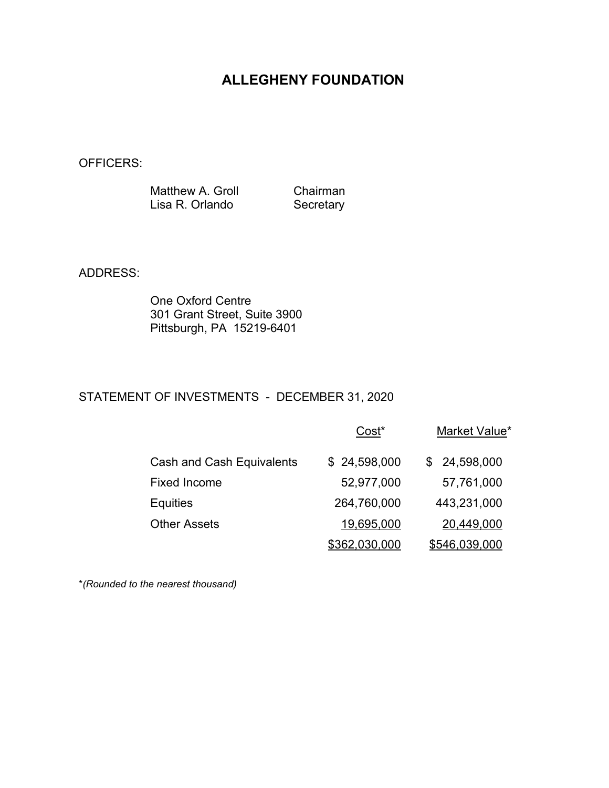OFFICERS:

Matthew A. Groll Chairman<br>Lisa R. Orlando Secretary Lisa R. Orlando

ADDRESS:

One Oxford Centre 301 Grant Street, Suite 3900 Pittsburgh, PA 15219-6401

## STATEMENT OF INVESTMENTS - DECEMBER 31, 2020

|                                  | Cost <sup>*</sup> | Market Value*        |
|----------------------------------|-------------------|----------------------|
| <b>Cash and Cash Equivalents</b> | \$24,598,000      | \$24,598,000         |
| <b>Fixed Income</b>              | 52,977,000        | 57,761,000           |
| <b>Equities</b>                  | 264,760,000       | 443,231,000          |
| <b>Other Assets</b>              | 19,695,000        | 20,449,000           |
|                                  | \$362,030,000     | <u>\$546,039,000</u> |

\**(Rounded to the nearest thousand)*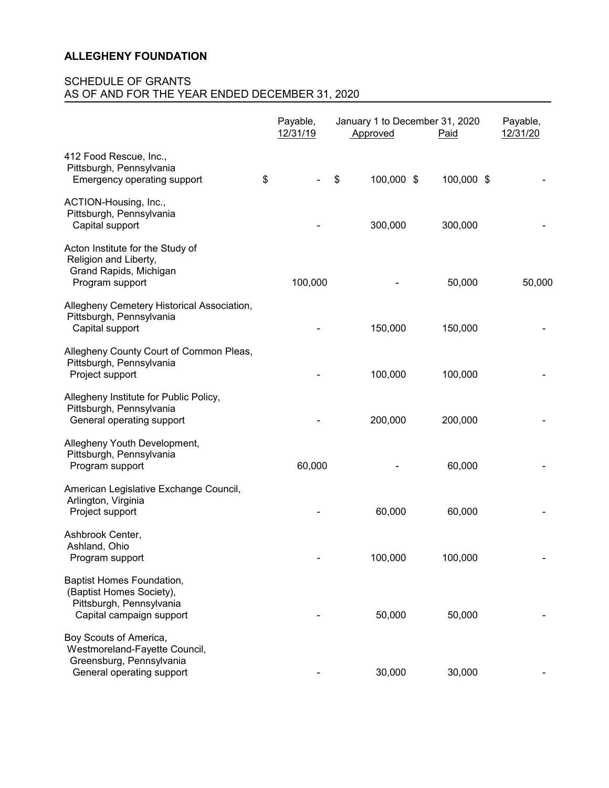|                                                                                                                  | Payable,<br>12/31/19 | January 1 to December 31, 2020<br>Approved | Paid       | Payable,<br>12/31/20 |
|------------------------------------------------------------------------------------------------------------------|----------------------|--------------------------------------------|------------|----------------------|
| 412 Food Rescue, Inc.,<br>Pittsburgh, Pennsylvania<br>Emergency operating support                                | \$                   | 100,000 \$<br>\$                           | 100,000 \$ |                      |
| ACTION-Housing, Inc.,<br>Pittsburgh, Pennsylvania<br>Capital support                                             |                      | 300,000                                    | 300,000    |                      |
| Acton Institute for the Study of<br>Religion and Liberty,<br>Grand Rapids, Michigan<br>Program support           | 100,000              |                                            | 50,000     | 50,000               |
| Allegheny Cemetery Historical Association,<br>Pittsburgh, Pennsylvania<br>Capital support                        |                      | 150,000                                    | 150,000    |                      |
| Allegheny County Court of Common Pleas,<br>Pittsburgh, Pennsylvania<br>Project support                           |                      | 100,000                                    | 100,000    |                      |
| Allegheny Institute for Public Policy,<br>Pittsburgh, Pennsylvania<br>General operating support                  |                      | 200,000                                    | 200,000    |                      |
| Allegheny Youth Development,<br>Pittsburgh, Pennsylvania<br>Program support                                      | 60,000               |                                            | 60,000     |                      |
| American Legislative Exchange Council,<br>Arlington, Virginia<br>Project support                                 |                      | 60,000                                     | 60,000     |                      |
| Ashbrook Center,<br>Ashland, Ohio<br>Program support                                                             |                      | 100,000                                    | 100,000    |                      |
| Baptist Homes Foundation,<br>(Baptist Homes Society),<br>Pittsburgh, Pennsylvania<br>Capital campaign support    |                      | 50,000                                     | 50,000     |                      |
| Boy Scouts of America,<br>Westmoreland-Fayette Council,<br>Greensburg, Pennsylvania<br>General operating support |                      | 30,000                                     | 30,000     |                      |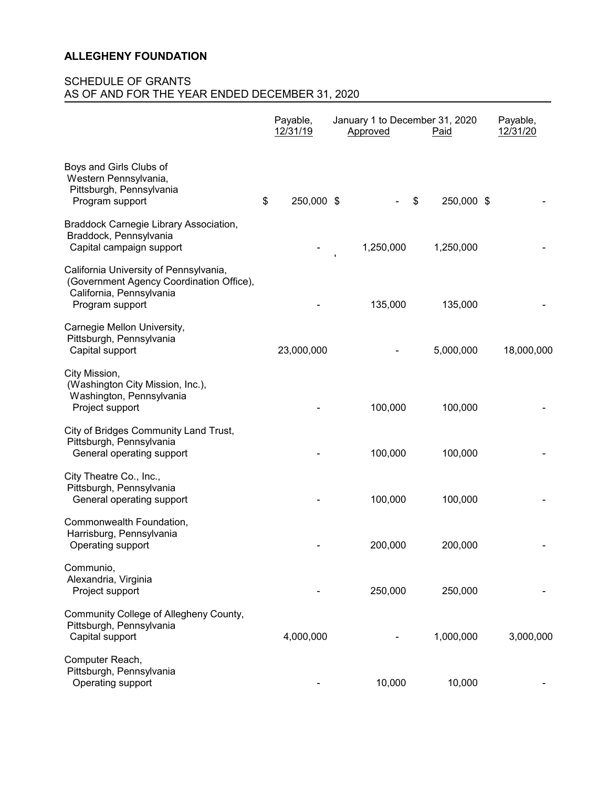|                                                                                                                                   | Payable,<br>12/31/19 | January 1 to December 31, 2020<br>Approved | Paid             | Payable,<br>12/31/20 |
|-----------------------------------------------------------------------------------------------------------------------------------|----------------------|--------------------------------------------|------------------|----------------------|
| Boys and Girls Clubs of<br>Western Pennsylvania,<br>Pittsburgh, Pennsylvania<br>Program support                                   | \$<br>250,000 \$     |                                            | \$<br>250,000 \$ |                      |
| Braddock Carnegie Library Association,<br>Braddock, Pennsylvania<br>Capital campaign support                                      |                      | 1,250,000                                  | 1,250,000        |                      |
| California University of Pennsylvania,<br>(Government Agency Coordination Office),<br>California, Pennsylvania<br>Program support |                      | 135,000                                    | 135,000          |                      |
| Carnegie Mellon University,<br>Pittsburgh, Pennsylvania<br>Capital support                                                        | 23,000,000           |                                            | 5,000,000        | 18,000,000           |
| City Mission,<br>(Washington City Mission, Inc.),<br>Washington, Pennsylvania<br>Project support                                  |                      | 100,000                                    | 100,000          |                      |
| City of Bridges Community Land Trust,<br>Pittsburgh, Pennsylvania<br>General operating support                                    |                      | 100,000                                    | 100,000          |                      |
| City Theatre Co., Inc.,<br>Pittsburgh, Pennsylvania<br>General operating support                                                  |                      | 100,000                                    | 100,000          |                      |
| Commonwealth Foundation,<br>Harrisburg, Pennsylvania<br>Operating support                                                         |                      | 200,000                                    | 200,000          |                      |
| Communio,<br>Alexandria, Virginia<br>Project support                                                                              |                      | 250,000                                    | 250,000          |                      |
| Community College of Allegheny County,<br>Pittsburgh, Pennsylvania<br>Capital support                                             | 4,000,000            |                                            | 1,000,000        | 3,000,000            |
| Computer Reach,<br>Pittsburgh, Pennsylvania<br>Operating support                                                                  |                      | 10,000                                     | 10,000           |                      |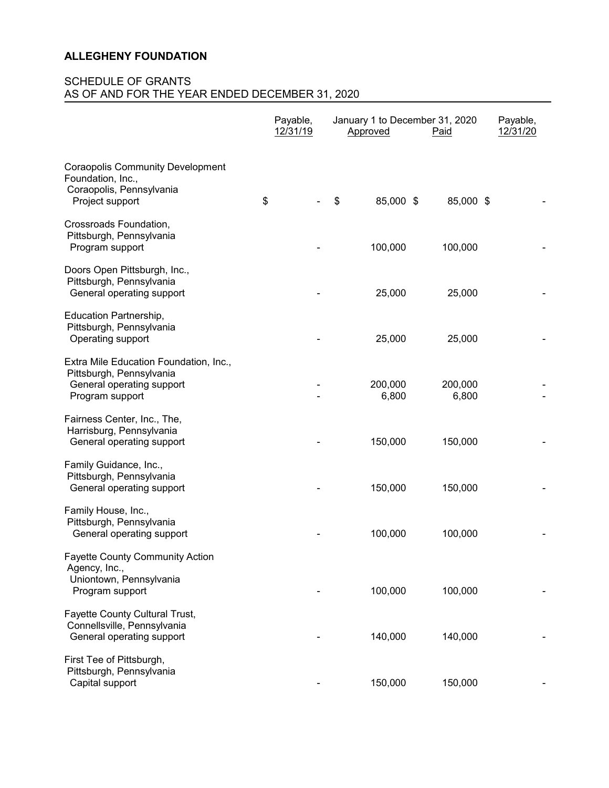|                                                                                                                    | Payable,<br>12/31/19 | January 1 to December 31, 2020<br>Approved | <u>Paid</u>      | Payable,<br>12/31/20 |
|--------------------------------------------------------------------------------------------------------------------|----------------------|--------------------------------------------|------------------|----------------------|
| <b>Coraopolis Community Development</b><br>Foundation, Inc.,<br>Coraopolis, Pennsylvania<br>Project support        | \$                   | \$<br>85,000 \$                            | 85,000 \$        |                      |
| Crossroads Foundation,<br>Pittsburgh, Pennsylvania<br>Program support                                              |                      | 100,000                                    | 100,000          |                      |
| Doors Open Pittsburgh, Inc.,<br>Pittsburgh, Pennsylvania<br>General operating support                              |                      | 25,000                                     | 25,000           |                      |
| Education Partnership,<br>Pittsburgh, Pennsylvania<br>Operating support                                            |                      | 25,000                                     | 25,000           |                      |
| Extra Mile Education Foundation, Inc.,<br>Pittsburgh, Pennsylvania<br>General operating support<br>Program support |                      | 200,000<br>6,800                           | 200,000<br>6,800 |                      |
| Fairness Center, Inc., The,<br>Harrisburg, Pennsylvania<br>General operating support                               |                      | 150,000                                    | 150,000          |                      |
| Family Guidance, Inc.,<br>Pittsburgh, Pennsylvania<br>General operating support                                    |                      | 150,000                                    | 150,000          |                      |
| Family House, Inc.,<br>Pittsburgh, Pennsylvania<br>General operating support                                       |                      | 100,000                                    | 100,000          |                      |
| <b>Fayette County Community Action</b><br>Agency, Inc.,<br>Uniontown, Pennsylvania<br>Program support              |                      | 100,000                                    | 100,000          |                      |
| Fayette County Cultural Trust,<br>Connellsville, Pennsylvania<br>General operating support                         |                      | 140,000                                    | 140,000          |                      |
| First Tee of Pittsburgh,<br>Pittsburgh, Pennsylvania<br>Capital support                                            |                      | 150,000                                    | 150,000          |                      |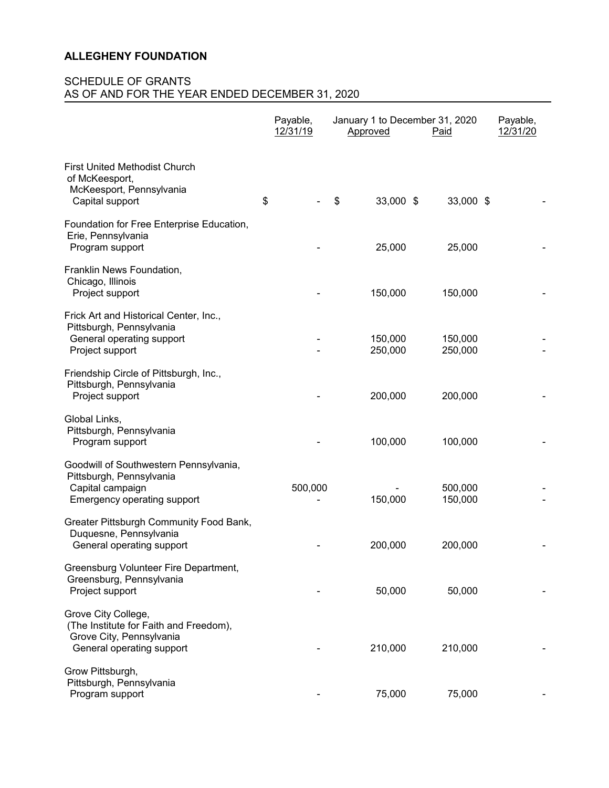|                                                                                                                        | Payable,<br>12/31/19 | January 1 to December 31, 2020<br>Approved | Paid               | Payable,<br>12/31/20 |
|------------------------------------------------------------------------------------------------------------------------|----------------------|--------------------------------------------|--------------------|----------------------|
| <b>First United Methodist Church</b><br>of McKeesport,<br>McKeesport, Pennsylvania<br>Capital support                  | \$                   | \$<br>33,000 \$                            | 33,000 \$          |                      |
| Foundation for Free Enterprise Education,<br>Erie, Pennsylvania<br>Program support                                     |                      | 25,000                                     | 25,000             |                      |
| Franklin News Foundation,<br>Chicago, Illinois<br>Project support                                                      |                      | 150,000                                    | 150,000            |                      |
| Frick Art and Historical Center, Inc.,<br>Pittsburgh, Pennsylvania<br>General operating support<br>Project support     |                      | 150,000<br>250,000                         | 150,000<br>250,000 |                      |
| Friendship Circle of Pittsburgh, Inc.,<br>Pittsburgh, Pennsylvania<br>Project support                                  |                      | 200,000                                    | 200,000            |                      |
| Global Links,<br>Pittsburgh, Pennsylvania<br>Program support                                                           |                      | 100,000                                    | 100,000            |                      |
| Goodwill of Southwestern Pennsylvania,<br>Pittsburgh, Pennsylvania<br>Capital campaign<br>Emergency operating support  | 500,000              | 150,000                                    | 500,000<br>150,000 |                      |
| Greater Pittsburgh Community Food Bank,<br>Duquesne, Pennsylvania<br>General operating support                         |                      | 200,000                                    | 200,000            |                      |
| Greensburg Volunteer Fire Department,<br>Greensburg, Pennsylvania<br>Project support                                   |                      | 50,000                                     | 50,000             |                      |
| Grove City College,<br>(The Institute for Faith and Freedom),<br>Grove City, Pennsylvania<br>General operating support |                      | 210,000                                    | 210,000            |                      |
| Grow Pittsburgh,<br>Pittsburgh, Pennsylvania<br>Program support                                                        |                      | 75,000                                     | 75,000             |                      |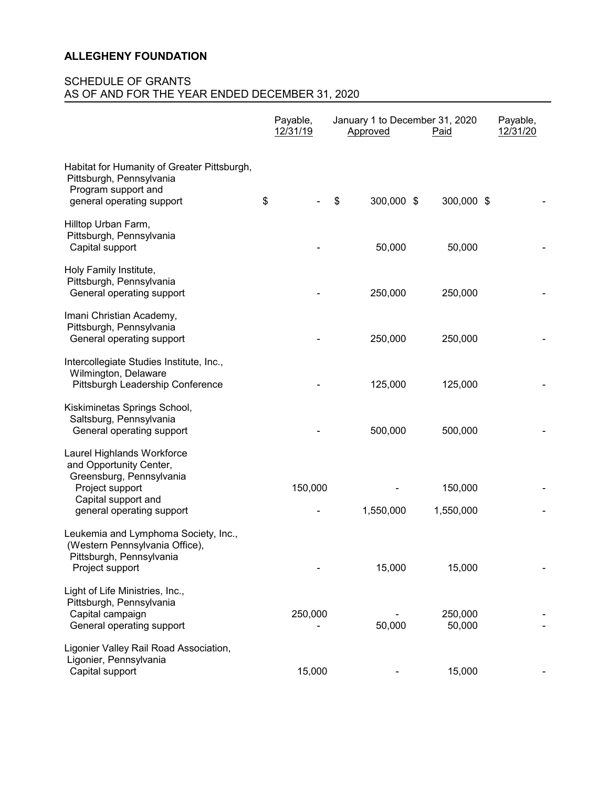|                                                                                                                                                          | Payable,<br>12/31/19 | January 1 to December 31, 2020<br>Approved | Paid                 | Payable,<br>12/31/20 |
|----------------------------------------------------------------------------------------------------------------------------------------------------------|----------------------|--------------------------------------------|----------------------|----------------------|
| Habitat for Humanity of Greater Pittsburgh,<br>Pittsburgh, Pennsylvania<br>Program support and<br>general operating support                              | \$                   | 300,000 \$<br>\$                           | 300,000 \$           |                      |
| Hilltop Urban Farm,<br>Pittsburgh, Pennsylvania<br>Capital support                                                                                       |                      | 50,000                                     | 50,000               |                      |
| Holy Family Institute,<br>Pittsburgh, Pennsylvania<br>General operating support                                                                          |                      | 250,000                                    | 250,000              |                      |
| Imani Christian Academy,<br>Pittsburgh, Pennsylvania<br>General operating support                                                                        |                      | 250,000                                    | 250,000              |                      |
| Intercollegiate Studies Institute, Inc.,<br>Wilmington, Delaware<br>Pittsburgh Leadership Conference                                                     |                      | 125,000                                    | 125,000              |                      |
| Kiskiminetas Springs School,<br>Saltsburg, Pennsylvania<br>General operating support                                                                     |                      | 500,000                                    | 500,000              |                      |
| Laurel Highlands Workforce<br>and Opportunity Center,<br>Greensburg, Pennsylvania<br>Project support<br>Capital support and<br>general operating support | 150,000              | 1,550,000                                  | 150,000<br>1,550,000 |                      |
| Leukemia and Lymphoma Society, Inc.,<br>(Western Pennsylvania Office),<br>Pittsburgh, Pennsylvania<br>Project support                                    |                      | 15,000                                     | 15,000               |                      |
| Light of Life Ministries, Inc.,<br>Pittsburgh, Pennsylvania<br>Capital campaign<br>General operating support                                             | 250,000              | 50,000                                     | 250,000<br>50,000    |                      |
| Ligonier Valley Rail Road Association,<br>Ligonier, Pennsylvania<br>Capital support                                                                      | 15,000               |                                            | 15,000               |                      |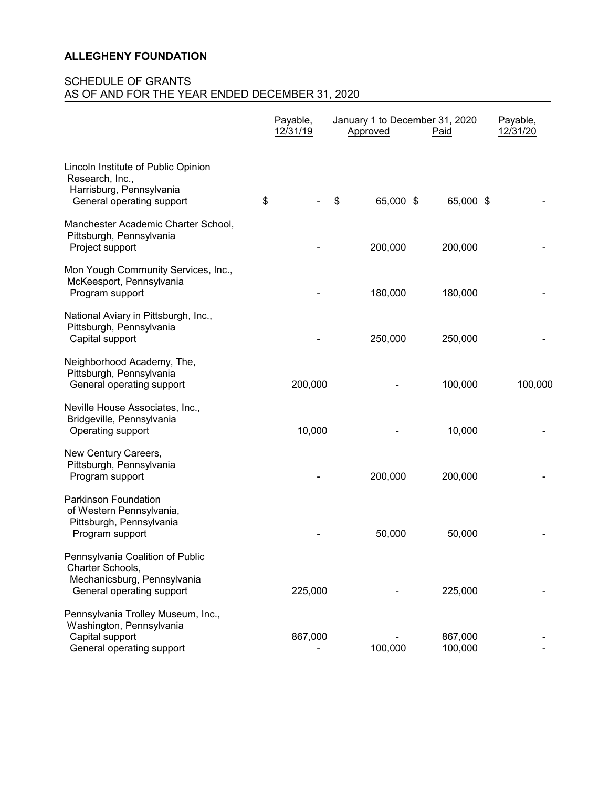|                                                                                                                  | Payable,<br>12/31/19 | Approved        | January 1 to December 31, 2020<br><b>Paid</b> | Payable,<br>12/31/20 |
|------------------------------------------------------------------------------------------------------------------|----------------------|-----------------|-----------------------------------------------|----------------------|
| Lincoln Institute of Public Opinion<br>Research, Inc.,<br>Harrisburg, Pennsylvania<br>General operating support  | \$                   | \$<br>65,000 \$ | 65,000 \$                                     |                      |
| Manchester Academic Charter School,<br>Pittsburgh, Pennsylvania<br>Project support                               |                      | 200,000         | 200,000                                       |                      |
| Mon Yough Community Services, Inc.,<br>McKeesport, Pennsylvania<br>Program support                               |                      | 180,000         | 180,000                                       |                      |
| National Aviary in Pittsburgh, Inc.,<br>Pittsburgh, Pennsylvania<br>Capital support                              |                      | 250,000         | 250,000                                       |                      |
| Neighborhood Academy, The,<br>Pittsburgh, Pennsylvania<br>General operating support                              | 200,000              |                 | 100,000                                       | 100,000              |
| Neville House Associates, Inc.,<br>Bridgeville, Pennsylvania<br>Operating support                                | 10,000               |                 | 10,000                                        |                      |
| New Century Careers,<br>Pittsburgh, Pennsylvania<br>Program support                                              |                      | 200,000         | 200,000                                       |                      |
| Parkinson Foundation<br>of Western Pennsylvania,<br>Pittsburgh, Pennsylvania<br>Program support                  |                      | 50,000          | 50,000                                        |                      |
| Pennsylvania Coalition of Public<br>Charter Schools,<br>Mechanicsburg, Pennsylvania<br>General operating support | 225,000              |                 | 225,000                                       |                      |
| Pennsylvania Trolley Museum, Inc.,<br>Washington, Pennsylvania<br>Capital support<br>General operating support   | 867,000              | 100,000         | 867,000<br>100,000                            |                      |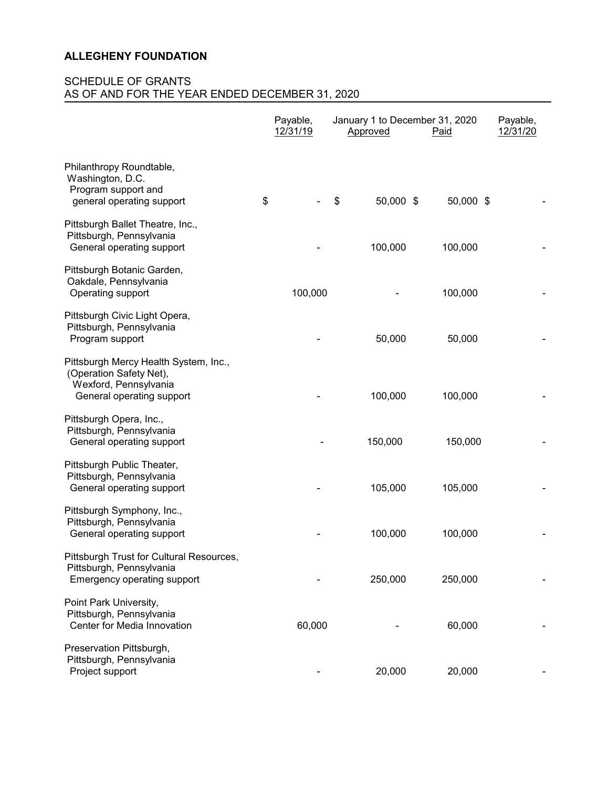|                                                                                                                        | Payable,<br>12/31/19 | January 1 to December 31, 2020<br>Approved<br>Paid |           | Payable,<br>12/31/20 |
|------------------------------------------------------------------------------------------------------------------------|----------------------|----------------------------------------------------|-----------|----------------------|
| Philanthropy Roundtable,<br>Washington, D.C.<br>Program support and<br>general operating support                       | \$                   | \$<br>50,000 \$                                    | 50,000 \$ |                      |
| Pittsburgh Ballet Theatre, Inc.,<br>Pittsburgh, Pennsylvania<br>General operating support                              |                      | 100,000                                            | 100,000   |                      |
| Pittsburgh Botanic Garden,<br>Oakdale, Pennsylvania<br>Operating support                                               | 100,000              |                                                    | 100,000   |                      |
| Pittsburgh Civic Light Opera,<br>Pittsburgh, Pennsylvania<br>Program support                                           |                      | 50,000                                             | 50,000    |                      |
| Pittsburgh Mercy Health System, Inc.,<br>(Operation Safety Net),<br>Wexford, Pennsylvania<br>General operating support |                      | 100,000                                            | 100,000   |                      |
| Pittsburgh Opera, Inc.,<br>Pittsburgh, Pennsylvania<br>General operating support                                       |                      | 150,000                                            | 150,000   |                      |
| Pittsburgh Public Theater,<br>Pittsburgh, Pennsylvania<br>General operating support                                    |                      | 105,000                                            | 105,000   |                      |
| Pittsburgh Symphony, Inc.,<br>Pittsburgh, Pennsylvania<br>General operating support                                    |                      | 100,000                                            | 100,000   |                      |
| Pittsburgh Trust for Cultural Resources,<br>Pittsburgh, Pennsylvania<br>Emergency operating support                    |                      | 250,000                                            | 250,000   |                      |
| Point Park University,<br>Pittsburgh, Pennsylvania<br>Center for Media Innovation                                      | 60,000               |                                                    | 60,000    |                      |
| Preservation Pittsburgh,<br>Pittsburgh, Pennsylvania<br>Project support                                                |                      | 20,000                                             | 20,000    |                      |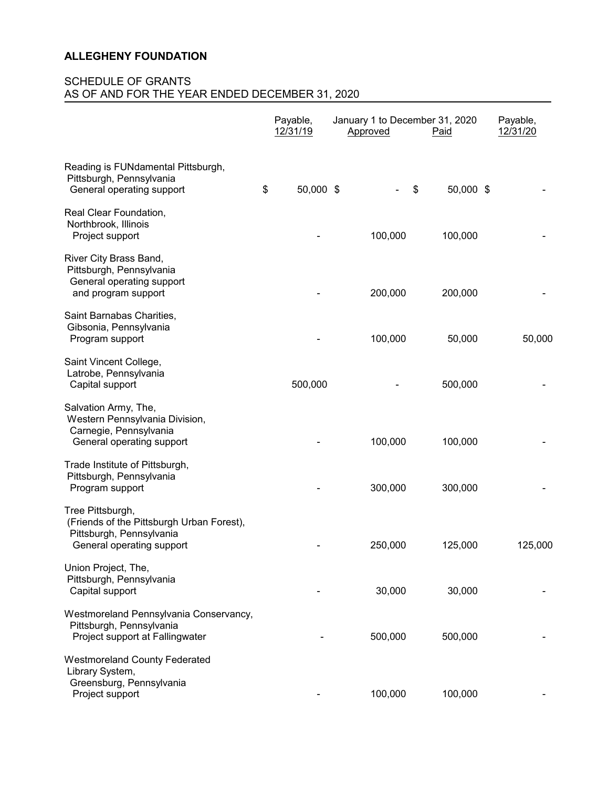|                                                                                                                        | Payable,<br>12/31/19 | Approved | January 1 to December 31, 2020<br><b>Paid</b> | Payable,<br>12/31/20 |         |
|------------------------------------------------------------------------------------------------------------------------|----------------------|----------|-----------------------------------------------|----------------------|---------|
| Reading is FUNdamental Pittsburgh,<br>Pittsburgh, Pennsylvania<br>General operating support                            | \$<br>50,000 \$      |          | \$<br>50,000 \$                               |                      |         |
| Real Clear Foundation,<br>Northbrook, Illinois<br>Project support                                                      |                      | 100,000  | 100,000                                       |                      |         |
| River City Brass Band,<br>Pittsburgh, Pennsylvania<br>General operating support<br>and program support                 |                      | 200,000  | 200,000                                       |                      |         |
| Saint Barnabas Charities,<br>Gibsonia, Pennsylvania<br>Program support                                                 |                      | 100,000  | 50,000                                        |                      | 50,000  |
| Saint Vincent College,<br>Latrobe, Pennsylvania<br>Capital support                                                     | 500,000              |          | 500,000                                       |                      |         |
| Salvation Army, The,<br>Western Pennsylvania Division,<br>Carnegie, Pennsylvania<br>General operating support          |                      | 100,000  | 100,000                                       |                      |         |
| Trade Institute of Pittsburgh,<br>Pittsburgh, Pennsylvania<br>Program support                                          |                      | 300,000  | 300,000                                       |                      |         |
| Tree Pittsburgh,<br>(Friends of the Pittsburgh Urban Forest),<br>Pittsburgh, Pennsylvania<br>General operating support |                      | 250,000  | 125,000                                       |                      | 125,000 |
| Union Project, The,<br>Pittsburgh, Pennsylvania<br>Capital support                                                     |                      | 30,000   | 30,000                                        |                      |         |
| Westmoreland Pennsylvania Conservancy,<br>Pittsburgh, Pennsylvania<br>Project support at Fallingwater                  |                      | 500,000  | 500,000                                       |                      |         |
| <b>Westmoreland County Federated</b><br>Library System,<br>Greensburg, Pennsylvania<br>Project support                 |                      | 100,000  | 100,000                                       |                      |         |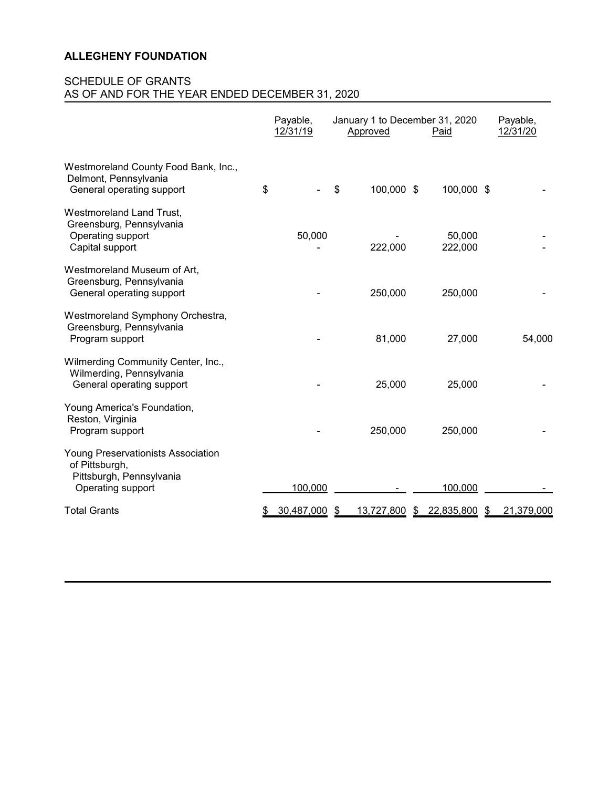|                                                                                                       | Payable,<br>12/31/19 | January 1 to December 31, 2020<br>Approved<br>Paid |            | Payable,<br>12/31/20 |                  |
|-------------------------------------------------------------------------------------------------------|----------------------|----------------------------------------------------|------------|----------------------|------------------|
| Westmoreland County Food Bank, Inc.,<br>Delmont, Pennsylvania<br>General operating support            | \$                   | \$                                                 | 100,000 \$ | 100,000 \$           |                  |
| <b>Westmoreland Land Trust,</b><br>Greensburg, Pennsylvania<br>Operating support<br>Capital support   | 50,000               |                                                    | 222,000    | 50,000<br>222,000    |                  |
| Westmoreland Museum of Art,<br>Greensburg, Pennsylvania<br>General operating support                  |                      |                                                    | 250,000    | 250,000              |                  |
| Westmoreland Symphony Orchestra,<br>Greensburg, Pennsylvania<br>Program support                       |                      |                                                    | 81,000     | 27,000               | 54,000           |
| Wilmerding Community Center, Inc.,<br>Wilmerding, Pennsylvania<br>General operating support           |                      |                                                    | 25,000     | 25,000               |                  |
| Young America's Foundation,<br>Reston, Virginia<br>Program support                                    |                      |                                                    | 250,000    | 250,000              |                  |
| Young Preservationists Association<br>of Pittsburgh,<br>Pittsburgh, Pennsylvania<br>Operating support | 100,000              |                                                    |            | 100,000              |                  |
| <b>Total Grants</b>                                                                                   | 30,487,000           | -\$                                                | 13,727,800 | \$<br>22,835,800     | \$<br>21,379,000 |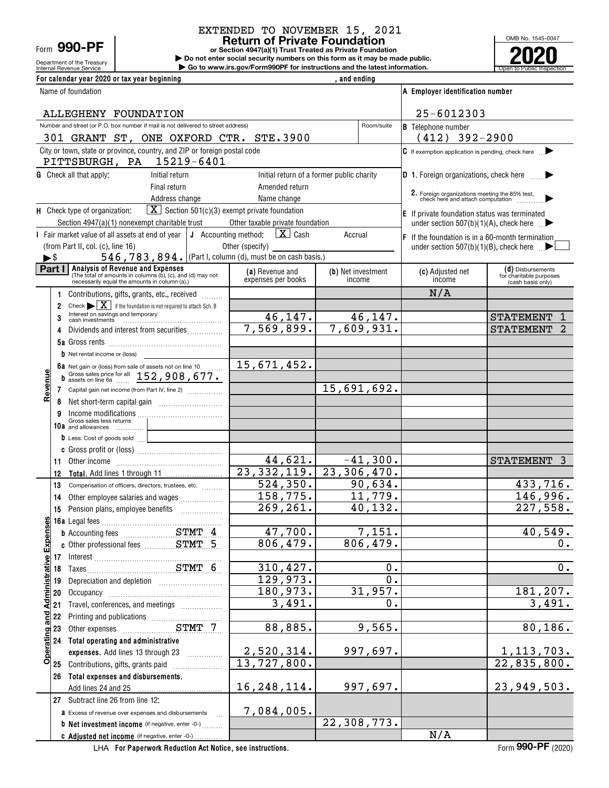## Form **990-PF**

Department of the Treasury

#### **Return of Private Foundation** EXTENDED TO NOVEMBER 15, 2021

**or Section 4947(a)(1) Trust Treated as Private Foundation**

Internal Revenue Service **Number 19th Construction Constructions and the latest information.** The Service of Public Inspection **| Do not enter social security numbers on this form as it may be made public. | Go to www.irs.gov/Form990PF for instructions and the latest information.**



|                          |    | For calendar year 2020 or tax year beginning                                                                                                                  |                                           | , and ending                 |                     |                                                                                                |                                                                   |
|--------------------------|----|---------------------------------------------------------------------------------------------------------------------------------------------------------------|-------------------------------------------|------------------------------|---------------------|------------------------------------------------------------------------------------------------|-------------------------------------------------------------------|
|                          |    | Name of foundation                                                                                                                                            |                                           |                              |                     | A Employer identification number                                                               |                                                                   |
|                          |    | ALLEGHENY FOUNDATION                                                                                                                                          |                                           |                              |                     | 25-6012303                                                                                     |                                                                   |
|                          |    | Number and street (or P.O. box number if mail is not delivered to street address)<br>301 GRANT ST, ONE OXFORD CTR. STE.3900                                   |                                           |                              | Room/suite          | <b>B</b> Telephone number<br>$(412)$ 392-2900                                                  |                                                                   |
|                          |    | City or town, state or province, country, and ZIP or foreign postal code                                                                                      |                                           |                              |                     | $\mathbf C$ If exemption application is pending, check here $\Box$                             |                                                                   |
|                          |    | PITTSBURGH, PA 15219-6401                                                                                                                                     |                                           |                              |                     |                                                                                                |                                                                   |
|                          |    | <b>G</b> Check all that apply:<br>Initial return                                                                                                              | Initial return of a former public charity |                              |                     | <b>D</b> 1. Foreign organizations, check here                                                  |                                                                   |
|                          |    | Final return<br>Address change                                                                                                                                | Amended return<br>Name change             |                              |                     | 2. Foreign organizations meeting the 85% test,<br>check here and attach computation            |                                                                   |
|                          |    | $\boxed{\mathbf{X}}$ Section 501(c)(3) exempt private foundation<br>H Check type of organization:                                                             |                                           |                              |                     |                                                                                                |                                                                   |
|                          |    | Section 4947(a)(1) nonexempt charitable trust                                                                                                                 | Other taxable private foundation          |                              |                     | E If private foundation status was terminated<br>under section 507(b)(1)(A), check here $\Box$ |                                                                   |
|                          |    | J Accounting method:<br>I Fair market value of all assets at end of year                                                                                      | $\boxed{\mathbf{X}}$ Cash                 | Accrual                      |                     | $F$ If the foundation is in a 60-month termination                                             |                                                                   |
|                          |    | (from Part II, col. (c), line 16)                                                                                                                             | Other (specify)                           |                              |                     | under section 507(b)(1)(B), check here $\Box$                                                  |                                                                   |
| $\blacktriangleright$ \$ |    | 546, 783, 894. (Part I, column (d), must be on cash basis.)                                                                                                   |                                           |                              |                     |                                                                                                |                                                                   |
|                          |    | <b>Part I</b> Analysis of Revenue and Expenses<br>(The total of amounts in columns (b), (c), and (d) may not<br>necessarily equal the amounts in column (a).) | (a) Revenue and<br>expenses per books     | (b) Net investment<br>income |                     | (c) Adjusted net<br>income                                                                     | (d) Disbursements<br>for charitable purposes<br>(cash basis only) |
|                          | 1  | Contributions, gifts, grants, etc., received                                                                                                                  |                                           |                              |                     | N/A                                                                                            |                                                                   |
|                          | 2  | Check $\blacktriangleright$ $\mid$ $\mathbf{X}$   if the foundation is not required to attach Sch. B                                                          |                                           |                              |                     |                                                                                                |                                                                   |
|                          | 3  | Interest on savings and temporary                                                                                                                             | 46, 147.                                  |                              | 46,147.             |                                                                                                | <b>STATEMENT</b>                                                  |
|                          | 4  | Dividends and interest from securities                                                                                                                        | 7,569,899.                                |                              | 7,609,931.          |                                                                                                | <b>STATEMENT</b>                                                  |
|                          |    |                                                                                                                                                               |                                           |                              |                     |                                                                                                |                                                                   |
|                          |    | $\mathbf b$ Net rental income or (loss)                                                                                                                       |                                           |                              |                     |                                                                                                |                                                                   |
|                          |    | 6a Net gain or (loss) from sale of assets not on line 10                                                                                                      | 15,671,452.                               |                              |                     |                                                                                                |                                                                   |
| evenue                   | b  | Gross sales price for all 152, 908, 677.                                                                                                                      |                                           | 15,691,692.                  |                     |                                                                                                |                                                                   |
| œ                        | 8  | 7 Capital gain net income (from Part IV, line 2)                                                                                                              |                                           |                              |                     |                                                                                                |                                                                   |
|                          | 9  |                                                                                                                                                               |                                           |                              |                     |                                                                                                |                                                                   |
|                          |    | Gross sales less returns<br>10a and allowances                                                                                                                |                                           |                              |                     |                                                                                                |                                                                   |
|                          |    | D Less: Cost of goods sold                                                                                                                                    |                                           |                              |                     |                                                                                                |                                                                   |
|                          |    |                                                                                                                                                               |                                           |                              |                     |                                                                                                |                                                                   |
|                          | 11 |                                                                                                                                                               | 44,621.                                   |                              | $-41,300.$          |                                                                                                | STATEMENT 3                                                       |
|                          | 12 |                                                                                                                                                               | 23, 332, 119.                             | 23,306,470.                  |                     |                                                                                                |                                                                   |
|                          | 13 | Compensation of officers, directors, trustees, etc.                                                                                                           | 524, 350.                                 |                              | 90,634.             |                                                                                                | 433,716.                                                          |
|                          | 14 | Other employee salaries and wages                                                                                                                             | 158, 775.                                 |                              | 11,779.             |                                                                                                | 146,996.                                                          |
|                          |    | 15 Pension plans, employee benefits                                                                                                                           | 269, 261.                                 |                              | 40,132.             |                                                                                                | 227,558.                                                          |
|                          |    |                                                                                                                                                               |                                           |                              |                     |                                                                                                |                                                                   |
| <b>Expense</b>           |    | <b>b</b> Accounting fees <b>EXALCONG STMT</b> 4                                                                                                               | 47,700.<br>806, 479.                      |                              | 7,151.<br>806, 479. |                                                                                                | 40,549.<br>0.                                                     |
|                          | 17 |                                                                                                                                                               |                                           |                              |                     |                                                                                                |                                                                   |
| ministrative             | 18 |                                                                                                                                                               | 310, 427.                                 |                              | 0.                  |                                                                                                | 0.                                                                |
|                          | 19 |                                                                                                                                                               | $\overline{129,973}$ .                    |                              | $\overline{0}$ .    |                                                                                                |                                                                   |
|                          | 20 |                                                                                                                                                               | 180,973.                                  |                              | 31,957.             |                                                                                                | 181,207.                                                          |
|                          | 21 | Travel, conferences, and meetings                                                                                                                             | 3,491.                                    |                              | Ο.                  |                                                                                                | 3,491.                                                            |
| and                      | 22 |                                                                                                                                                               |                                           |                              |                     |                                                                                                |                                                                   |
|                          | 23 |                                                                                                                                                               | 88,885.                                   |                              | 9,565.              |                                                                                                | 80, 186.                                                          |
| Operating                | 24 | Total operating and administrative                                                                                                                            |                                           |                              |                     |                                                                                                |                                                                   |
|                          |    | expenses. Add lines 13 through 23                                                                                                                             | 2,520,314.                                |                              | 997,697.            |                                                                                                | 1, 113, 703.                                                      |
|                          | 25 | Contributions, gifts, grants paid                                                                                                                             | $13,727,800$ .                            |                              |                     |                                                                                                | 22,835,800.                                                       |
|                          | 26 | Total expenses and disbursements.                                                                                                                             |                                           |                              |                     |                                                                                                |                                                                   |
|                          |    | Add lines 24 and 25                                                                                                                                           | 16, 248, 114.                             |                              | 997,697.            |                                                                                                | 23,949,503.                                                       |
|                          |    | 27 Subtract line 26 from line 12:                                                                                                                             | 7,084,005.                                |                              |                     |                                                                                                |                                                                   |
|                          |    | a Excess of revenue over expenses and disbursements<br><b>b</b> Net investment income (if negative, enter -0-)                                                |                                           | 22, 308, 773.                |                     |                                                                                                |                                                                   |
|                          |    | C Adiusted net income (if negative, enter -0-)                                                                                                                |                                           |                              |                     | N/A                                                                                            |                                                                   |

**For Paperwork Reduction Act Notice, see instructions.** LHA Form (2020)

**c** Adjusted net income (if negative, enter -0-) ............

**990-PF**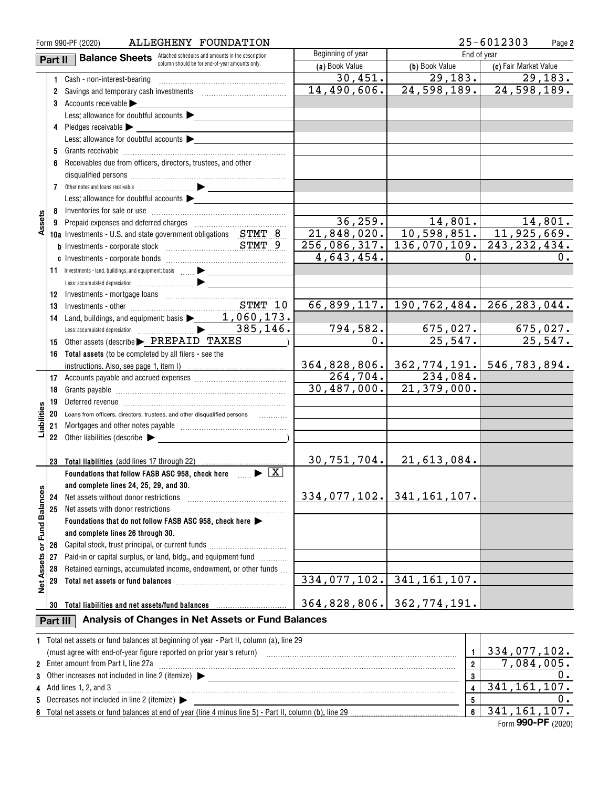|                   |          | ALLEGHENY FOUNDATION<br>Form 990-PF (2020)                                                                     |                   | 25-6012303<br>Page 2       |                                                                                                        |
|-------------------|----------|----------------------------------------------------------------------------------------------------------------|-------------------|----------------------------|--------------------------------------------------------------------------------------------------------|
|                   | Part II  | <b>Balance Sheets</b> Attached schedules and amounts in the description                                        | Beginning of year | End of year                |                                                                                                        |
|                   |          | column should be for end-of-year amounts only.                                                                 | (a) Book Value    | (b) Book Value             | (c) Fair Market Value                                                                                  |
|                   | 1.       | Cash - non-interest-bearing                                                                                    | 30,451.           | 29, 183.                   | 29, 183.                                                                                               |
|                   | 2        |                                                                                                                | 14,490,606.       | 24,598,189.                | 24,598,189.                                                                                            |
|                   |          | 3 Accounts receivable                                                                                          |                   |                            |                                                                                                        |
|                   |          | Less: allowance for doubtful accounts $\blacktriangleright$                                                    |                   |                            |                                                                                                        |
|                   |          |                                                                                                                |                   |                            |                                                                                                        |
|                   |          | Less: allowance for doubtful accounts                                                                          |                   |                            |                                                                                                        |
|                   | 5        |                                                                                                                |                   |                            |                                                                                                        |
|                   |          | Receivables due from officers, directors, trustees, and other                                                  |                   |                            |                                                                                                        |
|                   | 6        |                                                                                                                |                   |                            |                                                                                                        |
|                   |          |                                                                                                                |                   |                            |                                                                                                        |
|                   |          |                                                                                                                |                   |                            |                                                                                                        |
|                   |          | Less: allowance for doubtful accounts $\blacktriangleright$                                                    |                   |                            |                                                                                                        |
|                   | 8        |                                                                                                                |                   |                            |                                                                                                        |
| Assets            | 9        |                                                                                                                |                   |                            | $\begin{array}{c cccc} 36,259 & 14,801 & 14,801. \\ 21,848,020 & 10,598,851 & 11,925,669. \end{array}$ |
|                   |          | 10a Investments - U.S. and state government obligations STMT 8                                                 |                   |                            |                                                                                                        |
|                   |          |                                                                                                                |                   |                            | 256,086,317. 136,070,109. 243,232,434.                                                                 |
|                   |          |                                                                                                                | 4,643,454.        | 0.                         | 0.                                                                                                     |
|                   | 11       |                                                                                                                |                   |                            |                                                                                                        |
|                   |          |                                                                                                                |                   |                            |                                                                                                        |
|                   | 12       |                                                                                                                |                   |                            |                                                                                                        |
|                   | 13       |                                                                                                                |                   |                            | 66,899,117. 190,762,484. 266,283,044.                                                                  |
|                   | 14       |                                                                                                                |                   |                            |                                                                                                        |
|                   |          |                                                                                                                | 794,582.          |                            | $675,027$ .                                                                                            |
|                   | 15       | Other assets (describe FREPAID TAXES                                                                           | $0$ .             | $\frac{675,027.}{25,547.}$ | 25,547.                                                                                                |
|                   | 16       | Total assets (to be completed by all filers - see the                                                          |                   |                            |                                                                                                        |
|                   |          |                                                                                                                | 364,828,806.      |                            | 362, 774, 191.  546, 783, 894.                                                                         |
|                   | 17       |                                                                                                                | 264, 704.         | 234,084.                   |                                                                                                        |
|                   | 18       |                                                                                                                | 30,487,000.       | $\overline{21,379,000}$ .  |                                                                                                        |
|                   | 19       | Deferred revenue information and contain an area of the contained revenue in the contained and contained and c |                   |                            |                                                                                                        |
| Liabilities       | 20       | Loans from officers, directors, trustees, and other disqualified persons                                       |                   |                            |                                                                                                        |
|                   | 21       |                                                                                                                |                   |                            |                                                                                                        |
|                   |          | 22 Other liabilities (describe $\blacktriangleright$                                                           |                   |                            |                                                                                                        |
|                   |          |                                                                                                                |                   |                            |                                                                                                        |
|                   | 23       | <b>Total liabilities</b> (add lines 17 through 22)                                                             | 30,751,704.       | 21,613,084.                |                                                                                                        |
|                   |          | Foundations that follow FASB ASC 958, check here $\Box$                                                        |                   |                            |                                                                                                        |
|                   |          | and complete lines 24, 25, 29, and 30.                                                                         |                   |                            |                                                                                                        |
|                   |          |                                                                                                                |                   | 334,077,102. 341,161,107.  |                                                                                                        |
|                   | 24       | Net assets without donor restrictions                                                                          |                   |                            |                                                                                                        |
| or Fund Balances  | 25       | Net assets with donor restrictions                                                                             |                   |                            |                                                                                                        |
|                   |          | Foundations that do not follow FASB ASC 958, check here                                                        |                   |                            |                                                                                                        |
|                   |          | and complete lines 26 through 30.                                                                              |                   |                            |                                                                                                        |
|                   | 26       |                                                                                                                |                   |                            |                                                                                                        |
|                   | 27       | Paid-in or capital surplus, or land, bldg., and equipment fund                                                 |                   |                            |                                                                                                        |
|                   | 28       | Retained earnings, accumulated income, endowment, or other funds                                               |                   |                            |                                                                                                        |
| <b>Net Assets</b> | 29       |                                                                                                                | 334,077,102.      | 341, 161, 107.             |                                                                                                        |
|                   |          |                                                                                                                |                   |                            |                                                                                                        |
|                   | 30       | Total liabilities and net assets/fund balances                                                                 | 364,828,806.      | 362,774,191.               |                                                                                                        |
|                   | Part III | Analysis of Changes in Net Assets or Fund Balances                                                             |                   |                            |                                                                                                        |
|                   |          | 1 Total net assets or fund balances at beginning of year - Part II, column (a), line 29                        |                   |                            |                                                                                                        |
|                   |          |                                                                                                                |                   | $\mathbf{1}$               | 334,077,102.                                                                                           |
|                   |          | 2 Enter amount from Part I, line 27a                                                                           |                   | $\overline{2}$             | 7,084,005.                                                                                             |
|                   |          |                                                                                                                |                   | 3                          | 0.                                                                                                     |
|                   |          | 4 Add lines 1, 2, and 3                                                                                        |                   | $\overline{\mathbf{4}}$    | 341, 161, 107.                                                                                         |
|                   |          | 5 Decreases not included in line 2 (itemize) >                                                                 |                   | 5                          | 0.                                                                                                     |
|                   |          |                                                                                                                |                   | 6                          | 341, 161, 107.                                                                                         |
|                   |          |                                                                                                                |                   |                            |                                                                                                        |

Form (2020) **990-PF** 341,161,107.